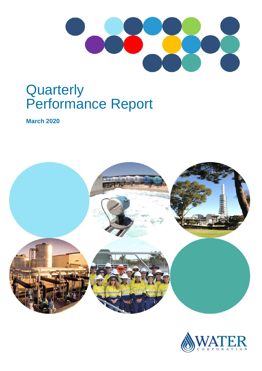

# **Quarterly** Performance Report

**March 2020**



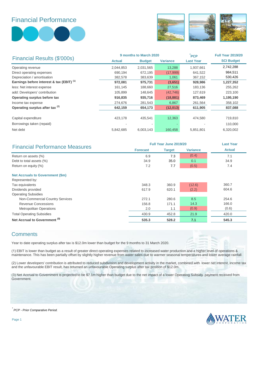## Financial Performance





|                                                      |               | 9 months to March 2020           | <b>PCP</b> | <b>Full Year 2019/20</b> |                   |
|------------------------------------------------------|---------------|----------------------------------|------------|--------------------------|-------------------|
| Financial Results (\$'000s)                          | <b>Actual</b> | <b>Budget</b><br><b>Variance</b> |            | <b>Last Year</b>         | <b>SCI Budget</b> |
| Operating revenue                                    | 2,044,853     | 2,031,565                        | 13,288     | 1,937,661                | 2,742,288         |
| Direct operating expenses                            | 690,194       | 672,195                          | (17,999)   | 641,522                  | 984,511           |
| Depreciation / amortisation                          | 382,578       | 383,639                          | 1,061      | 367,152                  | 530,426           |
| Earnings before interest & tax (EBIT) <sup>(1)</sup> | 972,081       | 975,731                          | (3,651)    | 928,986                  | 1,227,352         |
| less: Net interest expense                           | 161,145       | 188,660                          | 27,516     | 183,136                  | 255,262           |
| add: Developers' contribution                        | 105,899       | 148,645                          | (42, 746)  | 127,619                  | 223,100           |
| Operating surplus before tax                         | 916,835       | 935,716                          | (18, 881)  | 873,469                  | 1,195,190         |
| Income tax expense                                   | 274,676       | 281,543                          | 6,867      | 261,564                  | 358,102           |
| Operating surplus after tax (2)                      | 642,159       | 654,173                          | (12,013)   | 611,905                  | 837,088           |
|                                                      |               |                                  |            |                          |                   |
| Capital expenditure                                  | 423,178       | 435,541                          | 12,363     | 474.580                  | 719,810           |
| Borrowings taken (repaid)                            |               |                                  |            |                          | 110,000           |
| Net debt                                             | 5,842,685     | 6,003,143                        | 160,458    | 5,851,801                | 6,320,002         |

| <b>Financial Performance Measures</b>    | Full Year June 2019/20 | <b>Last Year</b> |                 |               |  |
|------------------------------------------|------------------------|------------------|-----------------|---------------|--|
|                                          | <b>Forecast</b>        | <b>Target</b>    | <b>Variance</b> | <b>Actual</b> |  |
| Return on assets (%)                     | 6.9                    | 7.3              | (0.4)           | 7.1           |  |
| Debt to total assets (%)                 | 34.9                   | 35.0             | 0.1             | 34.9          |  |
| Return on equity (%)                     | 7.2                    | 7.7              | (0.5)           | 7.4           |  |
| <b>Net Accruals to Government (\$m)</b>  |                        |                  |                 |               |  |
| Represented by:                          |                        |                  |                 |               |  |
| Tax equivalents                          | 348.3                  | 360.9            | (12.6)          | 360.7         |  |
| Dividends provided                       | 617.9                  | 620.1            | (2.2)           | 604.6         |  |
| <b>Operating Subsidies</b>               |                        |                  |                 |               |  |
| Non-Commercial Country Services          | 272.1                  | 280.6            | 8.5             | 254.6         |  |
| Revenue Concessions                      | 156.8                  | 171.1            | 14.3            | 166.0         |  |
| <b>Metropolitan Operations</b>           | 2.0                    | 1.1              | (0.9)           | (0.6)         |  |
| <b>Total Operating Subsidies</b>         | 430.9                  | 452.8            | 21.9            | 420.0         |  |
| Net Accrual to Government <sup>(3)</sup> | 535.3                  | 528.2            | 7.1             | 545.3         |  |

#### **Comments**

Year to date operating surplus after tax is \$12.0m lower than budget for the 9 months to 31 March 2020.

(1) EBIT is lower than budget as a result of greater direct operating expenses related to increased water production and a higher level of operations & maintenance. This has been partially offset by slightly higher revenue from water sales due to warmer seasonal temperatures and lower average rainfall.

(2) Lower developers' contribution is attributed to reduced subdivision and development activity in the market, combined with lower net interest, income tax and the unfavourable EBIT result, has returned an unfavourable Operating surplus after tax position of \$12.0m.

(3) Net Accrual to Government is projected to be \$7.1m higher than budget due to the net impact of a lower Operating Subsidy payment received from Government.

*\* PCP - Prior Comparative Period.* 



Page 1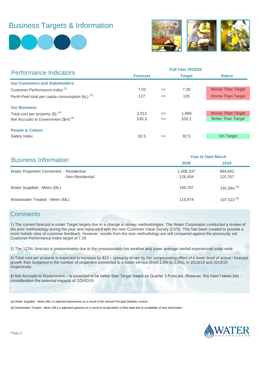# Business Targets & Information





| <b>Performance Indicators</b>                               |                 |        | <b>Full Year 2019/20</b> |                           |
|-------------------------------------------------------------|-----------------|--------|--------------------------|---------------------------|
|                                                             | <b>Forecast</b> |        | <b>Target</b>            | <b>Status</b>             |
| <b>Our Customers and Stakeholders</b>                       |                 |        |                          |                           |
| Customer Performance Index <sup>(1)</sup>                   | 7.03            | $>=$   | 7.20                     | <b>Worse Than Target</b>  |
| Perth-Peel total per capita consumption (kL) <sup>(2)</sup> | 127             | $\leq$ | 126                      | <b>Worse Than Target</b>  |
| <b>Our Business</b>                                         |                 |        |                          |                           |
| Total cost per property $(\$)$ $^{(3)}$                     | 2,012           | $\leq$ | 1,999                    | <b>Worse Than Target</b>  |
| Net Accruals to Government $(\text{Im})^{(4)}$              | 535.3           | $>=$   | 528.2                    | <b>Better Than Target</b> |
| <b>People &amp; Culture</b>                                 |                 |        |                          |                           |
| Safety Index                                                | 92.5            | $>=$   | 92.5                     | On Target                 |
|                                                             |                 |        |                          |                           |

| <b>Business Information</b>                                   | <b>Year to Date March</b> |                    |  |  |  |
|---------------------------------------------------------------|---------------------------|--------------------|--|--|--|
|                                                               | 2020                      | 2019               |  |  |  |
| Water Properties Connected - Residential<br>- Non-Residential | 1,006,337<br>126,404      | 994,842<br>125,767 |  |  |  |
| Water Supplied - Metro (ML)                                   | 199.707                   | 191,564 $(a)$      |  |  |  |
| Wastewater Treated - Metro (ML)                               | 115,974                   | 107,523 $(b)$      |  |  |  |

#### **Comments**

1) The current forecast is under Target largely due to a change in survey methodologies. The Water Corporation conducted a review of the prior methodology during the year and replaced it with the new Customer Value Survey (CVS). This has been created to provide a more holistic view of customer feedback. However, results from the new methodology are still compared against the previously set Customer Performance Index target of 7.20.

2) The 127kL forecast is predominately due to the unseasonably hot weather and lower average rainfall experienced state-wide.

3) Total cost per property is expected to increase by \$13 – primarily driven by the compounding effect of a lower level of actual / forecast growth than budgeted in the number of properties connected to a water service (from 1.5% to 1.0%), in 2018/19 and 2019/20 respectively.

4) Net Accruals to Government – Is expected to be better than Target based on Quarter 3 Forecast. However, this hasn't taken into consideration the potential impacts of COVID19.

*(a) Water Supplied - Metro (ML) is adjusted downwards as a result of the Annual Principal Statistics review.* 

*(b) Wastewater Treated - Metro (ML) is adjusted upwards as a result of recalculation of flow data due to availability of new information.*